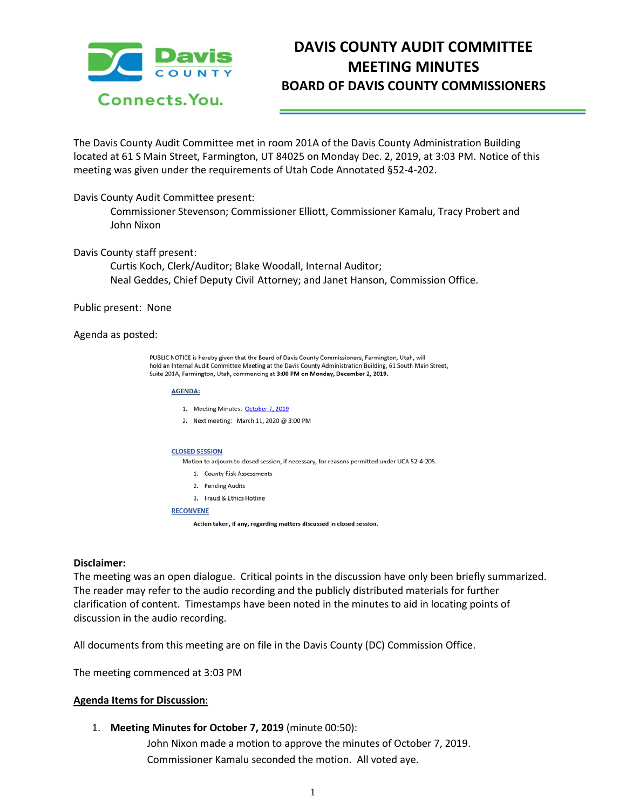

# **DAVIS COUNTY AUDIT COMMITTEE MEETING MINUTES BOARD OF DAVIS COUNTY COMMISSIONERS**

The Davis County Audit Committee met in room 201A of the Davis County Administration Building located at 61 S Main Street, Farmington, UT 84025 on Monday Dec. 2, 2019, at 3:03 PM. Notice of this meeting was given under the requirements of Utah Code Annotated §52-4-202.

## Davis County Audit Committee present:

Commissioner Stevenson; Commissioner Elliott, Commissioner Kamalu, Tracy Probert and John Nixon

## Davis County staff present:

Curtis Koch, Clerk/Auditor; Blake Woodall, Internal Auditor; Neal Geddes, Chief Deputy Civil Attorney; and Janet Hanson, Commission Office.

## Public present: None

## Agenda as posted:

PUBLIC NOTICE is hereby given that the Board of Davis County Commissioners, Farmington, Utah, will hold an Internal Audit Committee Meeting at the Davis County Administration Building, 61 South Main Street, Suite 201A, Farmington, Utah, commencing at 3:00 PM on Monday, December 2, 2019.

#### **AGENDA:**

1. Meeting Minutes: October 7, 2019

2. Next meeting: March 11, 2020 @ 3:00 PM

#### **CLOSED SESSION**

Motion to adjourn to closed session, if necessary, for reasons permitted under UCA 52-4-205.

- 1. County Risk Assessments
- 2. Pending Audits
- 3. Fraud & Ethics Hotline

#### **RECONVENE**

Action taken, if any, regarding matters discussed in closed session.

## **Disclaimer:**

The meeting was an open dialogue. Critical points in the discussion have only been briefly summarized. The reader may refer to the audio recording and the publicly distributed materials for further clarification of content. Timestamps have been noted in the minutes to aid in locating points of discussion in the audio recording.

All documents from this meeting are on file in the Davis County (DC) Commission Office.

The meeting commenced at 3:03 PM

## **Agenda Items for Discussion**:

## 1. **Meeting Minutes for October 7, 2019** (minute 00:50):

John Nixon made a motion to approve the minutes of October 7, 2019. Commissioner Kamalu seconded the motion. All voted aye.